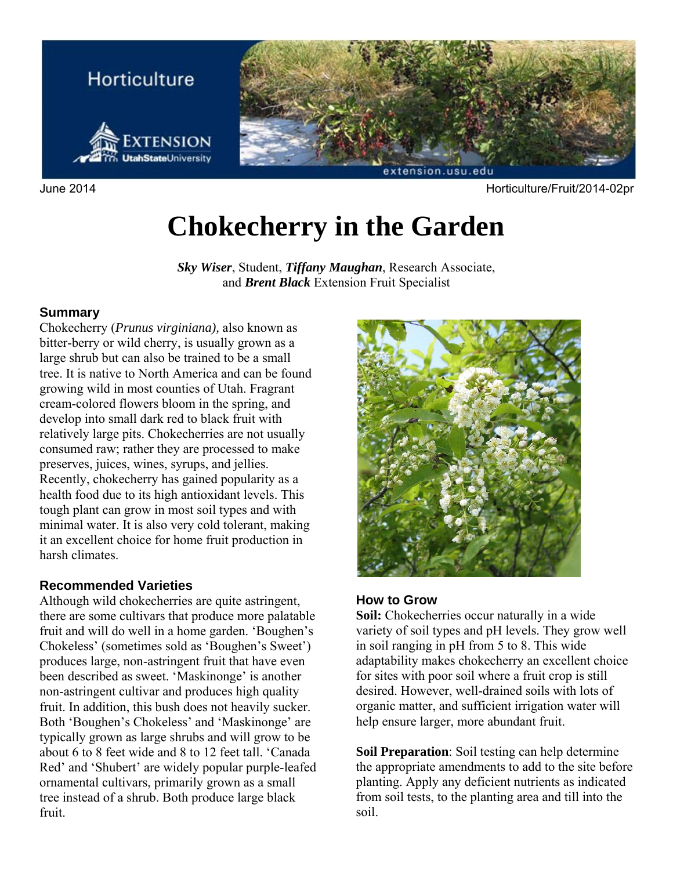

June 2014 Horticulture/Fruit/2014-02pr

# **Chokecherry in the Garden**

*Sky Wiser*, Student, *Tiffany Maughan*, Research Associate, and *Brent Black* Extension Fruit Specialist

#### **Summary**

Chokecherry (*Prunus virginiana),* also known as bitter-berry or wild cherry, is usually grown as a large shrub but can also be trained to be a small tree. It is native to North America and can be found growing wild in most counties of Utah. Fragrant cream-colored flowers bloom in the spring, and develop into small dark red to black fruit with relatively large pits. Chokecherries are not usually consumed raw; rather they are processed to make preserves, juices, wines, syrups, and jellies. Recently, chokecherry has gained popularity as a health food due to its high antioxidant levels. This tough plant can grow in most soil types and with minimal water. It is also very cold tolerant, making it an excellent choice for home fruit production in harsh climates.

#### **Recommended Varieties**

Although wild chokecherries are quite astringent, there are some cultivars that produce more palatable fruit and will do well in a home garden. 'Boughen's Chokeless' (sometimes sold as 'Boughen's Sweet') produces large, non-astringent fruit that have even been described as sweet. 'Maskinonge' is another non-astringent cultivar and produces high quality fruit. In addition, this bush does not heavily sucker. Both 'Boughen's Chokeless' and 'Maskinonge' are typically grown as large shrubs and will grow to be about 6 to 8 feet wide and 8 to 12 feet tall. 'Canada Red' and 'Shubert' are widely popular purple-leafed ornamental cultivars, primarily grown as a small tree instead of a shrub. Both produce large black fruit.



#### **How to Grow**

**Soil:** Chokecherries occur naturally in a wide variety of soil types and pH levels. They grow well in soil ranging in pH from 5 to 8. This wide adaptability makes chokecherry an excellent choice for sites with poor soil where a fruit crop is still desired. However, well-drained soils with lots of organic matter, and sufficient irrigation water will help ensure larger, more abundant fruit.

**Soil Preparation**: Soil testing can help determine the appropriate amendments to add to the site before planting. Apply any deficient nutrients as indicated from soil tests, to the planting area and till into the soil.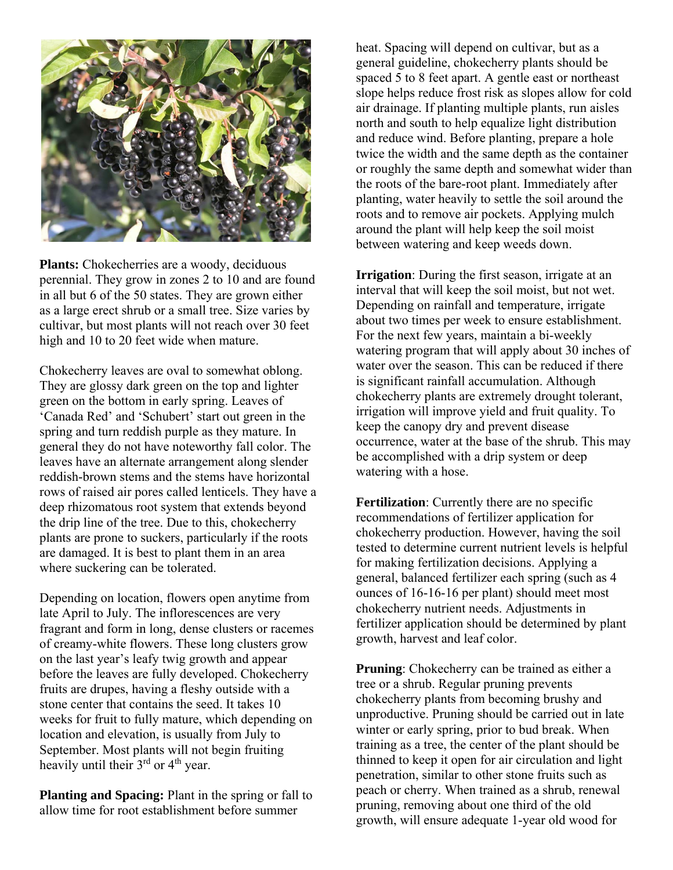

**Plants:** Chokecherries are a woody, deciduous perennial. They grow in zones 2 to 10 and are found in all but 6 of the 50 states. They are grown either as a large erect shrub or a small tree. Size varies by cultivar, but most plants will not reach over 30 feet high and 10 to 20 feet wide when mature.

Chokecherry leaves are oval to somewhat oblong. They are glossy dark green on the top and lighter green on the bottom in early spring. Leaves of 'Canada Red' and 'Schubert' start out green in the spring and turn reddish purple as they mature. In general they do not have noteworthy fall color. The leaves have an alternate arrangement along slender reddish-brown stems and the stems have horizontal rows of raised air pores called lenticels. They have a deep rhizomatous root system that extends beyond the drip line of the tree. Due to this, chokecherry plants are prone to suckers, particularly if the roots are damaged. It is best to plant them in an area where suckering can be tolerated.

Depending on location, flowers open anytime from late April to July. The inflorescences are very fragrant and form in long, dense clusters or racemes of creamy-white flowers. These long clusters grow on the last year's leafy twig growth and appear before the leaves are fully developed. Chokecherry fruits are drupes, having a fleshy outside with a stone center that contains the seed. It takes 10 weeks for fruit to fully mature, which depending on location and elevation, is usually from July to September. Most plants will not begin fruiting heavily until their 3<sup>rd</sup> or 4<sup>th</sup> year.

**Planting and Spacing:** Plant in the spring or fall to allow time for root establishment before summer

heat. Spacing will depend on cultivar, but as a general guideline, chokecherry plants should be spaced 5 to 8 feet apart. A gentle east or northeast slope helps reduce frost risk as slopes allow for cold air drainage. If planting multiple plants, run aisles north and south to help equalize light distribution and reduce wind. Before planting, prepare a hole twice the width and the same depth as the container or roughly the same depth and somewhat wider than the roots of the bare-root plant. Immediately after planting, water heavily to settle the soil around the roots and to remove air pockets. Applying mulch around the plant will help keep the soil moist between watering and keep weeds down.

**Irrigation**: During the first season, irrigate at an interval that will keep the soil moist, but not wet. Depending on rainfall and temperature, irrigate about two times per week to ensure establishment. For the next few years, maintain a bi-weekly watering program that will apply about 30 inches of water over the season. This can be reduced if there is significant rainfall accumulation. Although chokecherry plants are extremely drought tolerant, irrigation will improve yield and fruit quality. To keep the canopy dry and prevent disease occurrence, water at the base of the shrub. This may be accomplished with a drip system or deep watering with a hose.

**Fertilization**: Currently there are no specific recommendations of fertilizer application for chokecherry production. However, having the soil tested to determine current nutrient levels is helpful for making fertilization decisions. Applying a general, balanced fertilizer each spring (such as 4 ounces of 16-16-16 per plant) should meet most chokecherry nutrient needs. Adjustments in fertilizer application should be determined by plant growth, harvest and leaf color.

**Pruning:** Chokecherry can be trained as either a tree or a shrub. Regular pruning prevents chokecherry plants from becoming brushy and unproductive. Pruning should be carried out in late winter or early spring, prior to bud break. When training as a tree, the center of the plant should be thinned to keep it open for air circulation and light penetration, similar to other stone fruits such as peach or cherry. When trained as a shrub, renewal pruning, removing about one third of the old growth, will ensure adequate 1-year old wood for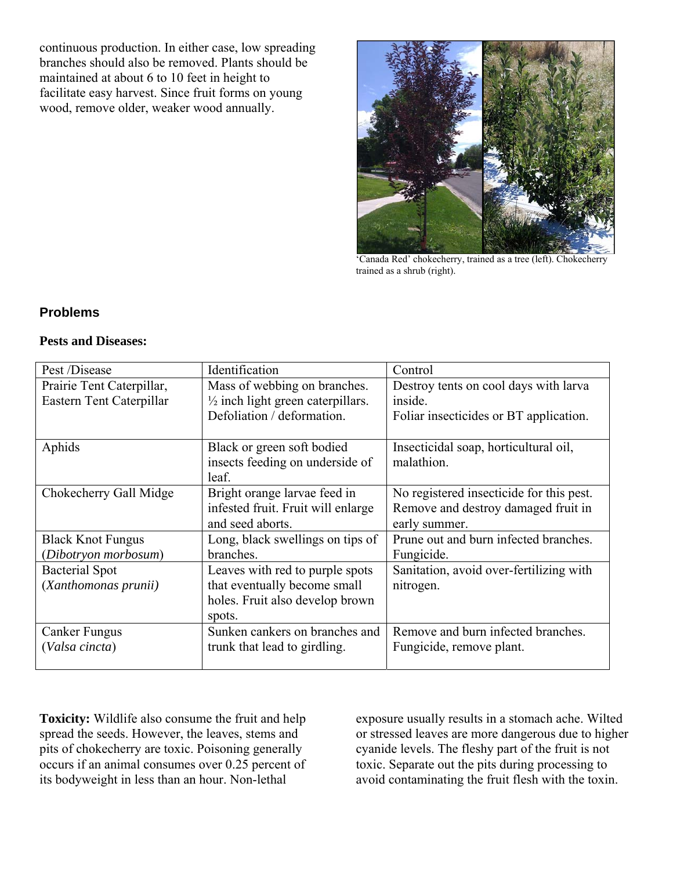continuous production. In either case, low spreading branches should also be removed. Plants should be maintained at about 6 to 10 feet in height to facilitate easy harvest. Since fruit forms on young wood, remove older, weaker wood annually.



'Canada Red' chokecherry, trained as a tree (left). Chokecherry trained as a shrub (right).

#### **Problems**

#### **Pests and Diseases:**

| Pest /Disease             | Identification                               | Control                                  |
|---------------------------|----------------------------------------------|------------------------------------------|
| Prairie Tent Caterpillar, | Mass of webbing on branches.                 | Destroy tents on cool days with larva    |
| Eastern Tent Caterpillar  | $\frac{1}{2}$ inch light green caterpillars. | inside.                                  |
|                           | Defoliation / deformation.                   | Foliar insecticides or BT application.   |
|                           |                                              |                                          |
| Aphids                    | Black or green soft bodied                   | Insecticidal soap, horticultural oil,    |
|                           | insects feeding on underside of              | malathion.                               |
|                           | leaf.                                        |                                          |
| Chokecherry Gall Midge    | Bright orange larvae feed in                 | No registered insecticide for this pest. |
|                           | infested fruit. Fruit will enlarge           | Remove and destroy damaged fruit in      |
|                           | and seed aborts.                             | early summer.                            |
| <b>Black Knot Fungus</b>  | Long, black swellings on tips of             | Prune out and burn infected branches.    |
| (Dibotryon morbosum)      | branches.                                    | Fungicide.                               |
| <b>Bacterial Spot</b>     | Leaves with red to purple spots              | Sanitation, avoid over-fertilizing with  |
| (Xanthomonas prunii)      | that eventually become small                 | nitrogen.                                |
|                           | holes. Fruit also develop brown              |                                          |
|                           | spots.                                       |                                          |
| <b>Canker Fungus</b>      | Sunken cankers on branches and               | Remove and burn infected branches.       |
| (Valsa cincta)            | trunk that lead to girdling.                 | Fungicide, remove plant.                 |
|                           |                                              |                                          |

**Toxicity:** Wildlife also consume the fruit and help spread the seeds. However, the leaves, stems and pits of chokecherry are toxic. Poisoning generally occurs if an animal consumes over 0.25 percent of its bodyweight in less than an hour. Non-lethal

exposure usually results in a stomach ache. Wilted or stressed leaves are more dangerous due to higher cyanide levels. The fleshy part of the fruit is not toxic. Separate out the pits during processing to avoid contaminating the fruit flesh with the toxin.